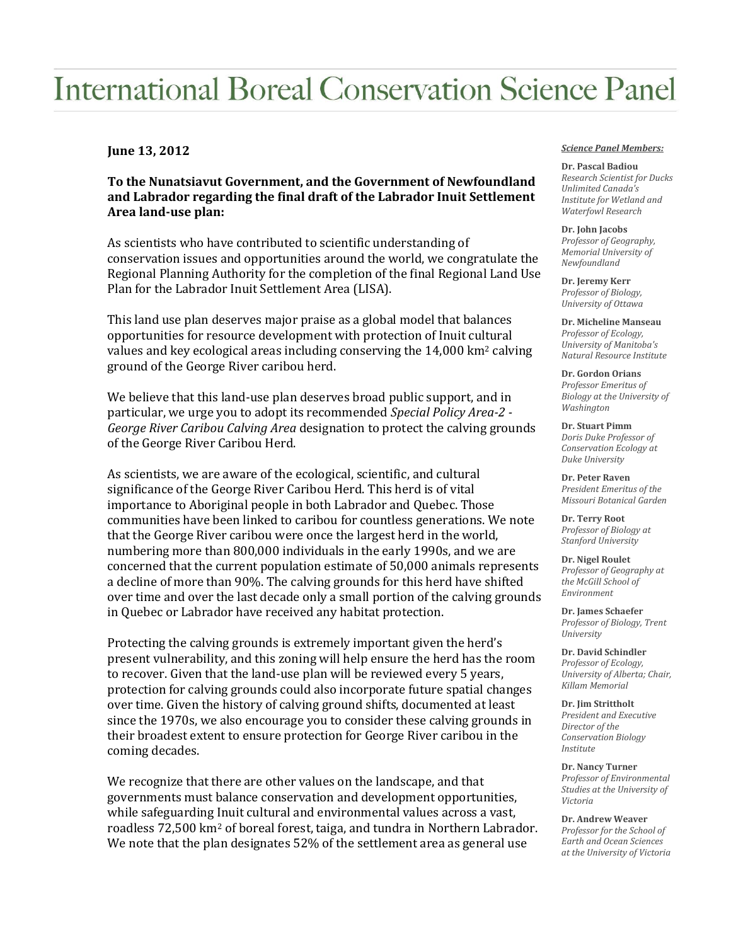## **International Boreal Conservation Science Panel**

## **June 13, 2012**

**To the Nunatsiavut Government, and the Government of Newfoundland and Labrador regarding the final draft of the Labrador Inuit Settlement Area land-use plan:**

As scientists who have contributed to scientific understanding of conservation issues and opportunities around the world, we congratulate the Regional Planning Authority for the completion of the final Regional Land Use Plan for the Labrador Inuit Settlement Area (LISA).

This land use plan deserves major praise as a global model that balances opportunities for resource development with protection of Inuit cultural values and key ecological areas including conserving the  $14,000 \mathrm{km^2}$  calving ground of the George River caribou herd.

We believe that this land-use plan deserves broad public support, and in particular, we urge you to adopt its recommended *Special Policy Area-2 - George River Caribou Calving Area* designation to protect the calving grounds of the George River Caribou Herd.

As scientists, we are aware of the ecological, scientific, and cultural significance of the George River Caribou Herd. This herd is of vital importance to Aboriginal people in both Labrador and Quebec. Those communities have been linked to caribou for countless generations. We note that the George River caribou were once the largest herd in the world, numbering more than 800,000 individuals in the early 1990s, and we are concerned that the current population estimate of 50,000 animals represents a decline of more than 90%. The calving grounds for this herd have shifted over time and over the last decade only a small portion of the calving grounds in Quebec or Labrador have received any habitat protection.

Protecting the calving grounds is extremely important given the herd's present vulnerability, and this zoning will help ensure the herd has the room to recover. Given that the land-use plan will be reviewed every 5 years, protection for calving grounds could also incorporate future spatial changes over time. Given the history of calving ground shifts, documented at least since the 1970s, we also encourage you to consider these calving grounds in their broadest extent to ensure protection for George River caribou in the coming decades.

We recognize that there are other values on the landscape, and that governments must balance conservation and development opportunities, while safeguarding Inuit cultural and environmental values across a vast, roadless 72,500 km<sup>2</sup> of boreal forest, taiga, and tundra in Northern Labrador. We note that the plan designates 52% of the settlement area as general use

## *Science Panel Members:*

**Dr. Pascal Badiou** *Research Scientist for Ducks Unlimited Canada's Institute for Wetland and Waterfowl Research*

**Dr. John Jacobs** *Professor of Geography, Memorial University of Newfoundland*

**Dr. Jeremy Kerr** *Professor of Biology, University of Ottawa*

**Dr. Micheline Manseau** *Professor of Ecology, University of Manitoba's Natural Resource Institute*

**Dr. Gordon Orians** *Professor Emeritus of Biology at the University of Washington*

**Dr. Stuart Pimm** *Doris Duke Professor of Conservation Ecology at Duke University*

**Dr. Peter Raven** *President Emeritus of the Missouri Botanical Garden*

**Dr. Terry Root** *Professor of Biology at Stanford University*

**Dr. Nigel Roulet** *Professor of Geography at the McGill School of Environment*

**Dr. James Schaefer** *Professor of Biology, Trent University*

**Dr. David Schindler** *Professor of Ecology, University of Alberta; Chair, Killam Memorial*

**Dr. Jim Strittholt** *President and Executive Director of the Conservation Biology Institute*

**Dr. Nancy Turner** *Professor of Environmental Studies at the University of Victoria*

**Dr. Andrew Weaver** *Professor for the School of Earth and Ocean Sciences at the University of Victoria*